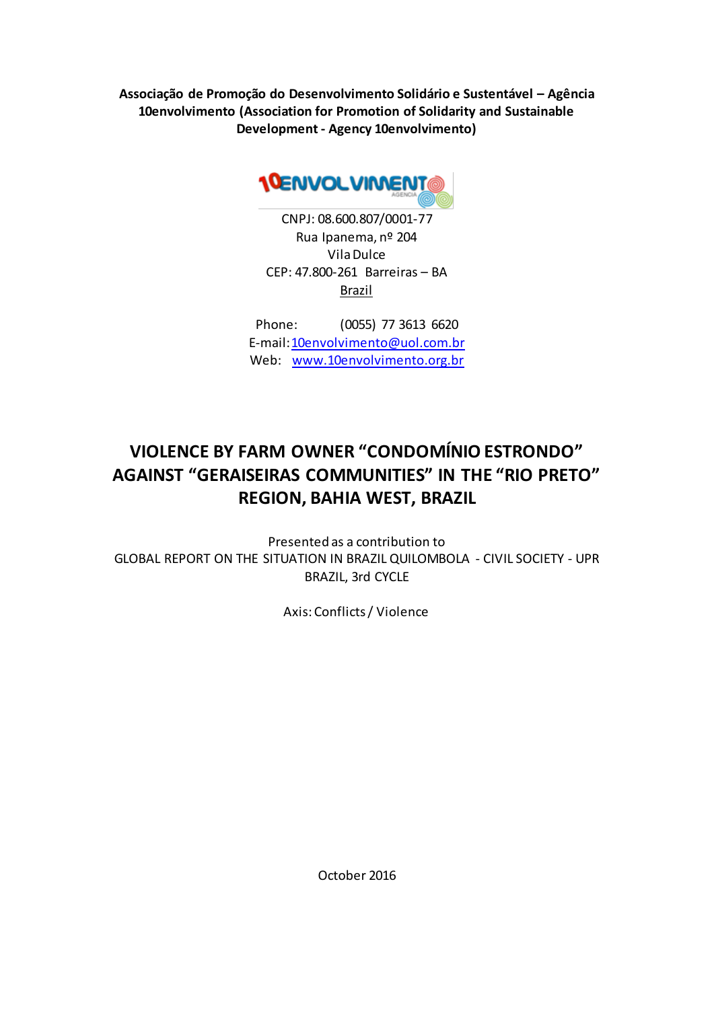**Associação de Promoção do Desenvolvimento Solidário e Sustentável – Agência 10envolvimento (Association for Promotion of Solidarity and Sustainable Development - Agency 10envolvimento)**



CNPJ: 08.600.807/0001-77 Rua Ipanema, nº 204 Vila Dulce CEP: 47.800-261 Barreiras – BA Brazil

Phone: (0055) 77 3613 6620 E-mail:10envolvimento@uol.com.br Web: www.10envolvimento.org.br

# **VIOLENCE BY FARM OWNER "CONDOMÍNIO ESTRONDO" AGAINST "GERAISEIRAS COMMUNITIES" IN THE "RIO PRETO" REGION, BAHIA WEST, BRAZIL**

Presented as a contribution to GLOBAL REPORT ON THE SITUATION IN BRAZIL QUILOMBOLA - CIVIL SOCIETY - UPR BRAZIL, 3rd CYCLE

Axis: Conflicts / Violence

October 2016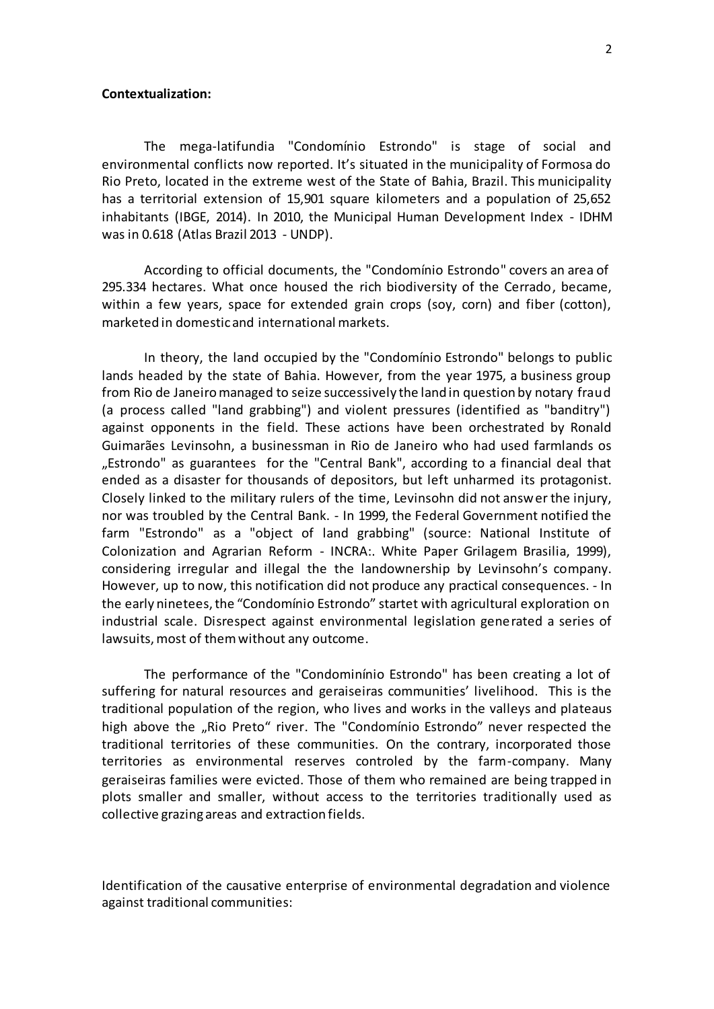### **Contextualization:**

The mega-latifundia "Condomínio Estrondo" is stage of social and environmental conflicts now reported. It's situated in the municipality of Formosa do Rio Preto, located in the extreme west of the State of Bahia, Brazil. This municipality has a territorial extension of 15,901 square kilometers and a population of 25,652 inhabitants (IBGE, 2014). In 2010, the Municipal Human Development Index - IDHM was in 0.618 (Atlas Brazil 2013 - UNDP).

According to official documents, the "Condomínio Estrondo" covers an area of 295.334 hectares. What once housed the rich biodiversity of the Cerrado, became, within a few years, space for extended grain crops (soy, corn) and fiber (cotton), marketed in domestic and international markets.

In theory, the land occupied by the "Condomínio Estrondo" belongs to public lands headed by the state of Bahia. However, from the year 1975, a business group from Rio de Janeiro managed to seize successively the land in question by notary fraud (a process called "land grabbing") and violent pressures (identified as "banditry") against opponents in the field. These actions have been orchestrated by Ronald Guimarães Levinsohn, a businessman in Rio de Janeiro who had used farmlands os "Estrondo" as guarantees for the "Central Bank", according to a financial deal that ended as a disaster for thousands of depositors, but left unharmed its protagonist. Closely linked to the military rulers of the time, Levinsohn did not answer the injury, nor was troubled by the Central Bank. - In 1999, the Federal Government notified the farm "Estrondo" as a "object of land grabbing" (source: National Institute of Colonization and Agrarian Reform - INCRA:. White Paper Grilagem Brasilia, 1999), considering irregular and illegal the the landownership by Levinsohn's company. However, up to now, this notification did not produce any practical consequences. - In the early ninetees, the "Condomínio Estrondo" startet with agricultural exploration on industrial scale. Disrespect against environmental legislation generated a series of lawsuits, most of them without any outcome.

The performance of the "Condominínio Estrondo" has been creating a lot of suffering for natural resources and geraiseiras communities' livelihood. This is the traditional population of the region, who lives and works in the valleys and plateaus high above the "Rio Preto" river. The "Condomínio Estrondo" never respected the traditional territories of these communities. On the contrary, incorporated those territories as environmental reserves controled by the farm-company. Many geraiseiras families were evicted. Those of them who remained are being trapped in plots smaller and smaller, without access to the territories traditionally used as collective grazing areas and extraction fields.

Identification of the causative enterprise of environmental degradation and violence against traditional communities: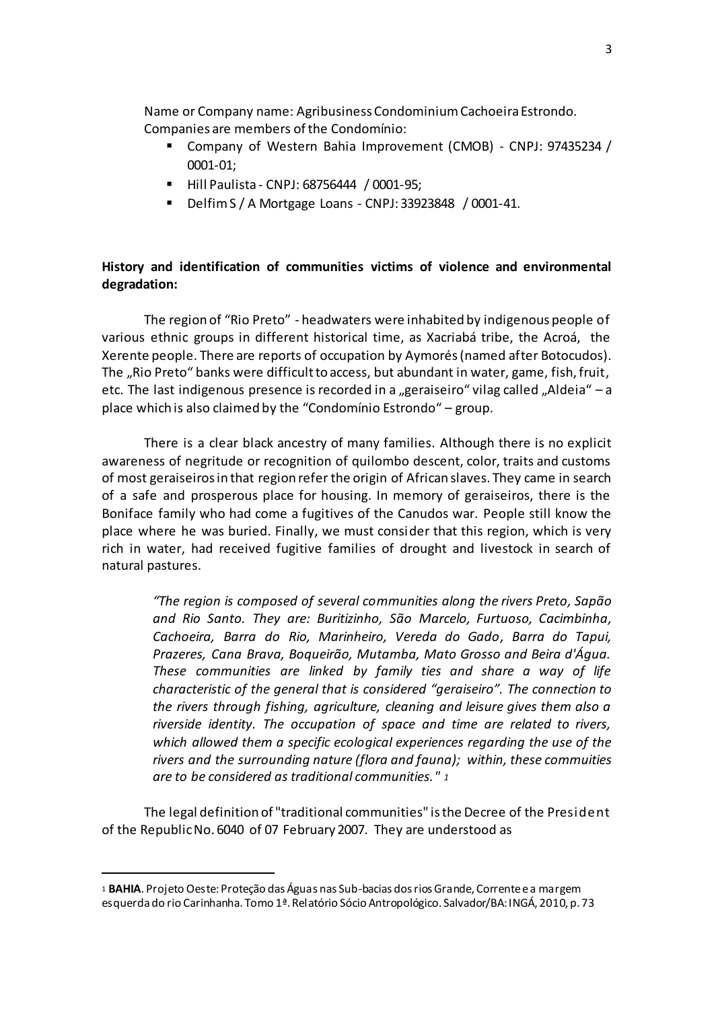Name or Company name: Agribusiness Condominium Cachoeira Estrondo. Companies are members of the Condomínio:

- Company of Western Bahia Improvement (CMOB) CNPJ: 97435234 / 0001-01;
- Hill Paulista CNPJ: 68756444 / 0001-95;
- Delfim S / A Mortgage Loans CNPJ: 33923848 / 0001-41.

## **History and identification of communities victims of violence and environmental degradation:**

The region of "Rio Preto" - headwaters were inhabited by indigenous people of various ethnic groups in different historical time, as Xacriabá tribe, the Acroá, the Xerente people. There are reports of occupation by Aymorés (named after Botocudos). The "Rio Preto" banks were difficult to access, but abundant in water, game, fish, fruit, etc. The last indigenous presence is recorded in a "geraiseiro" vilag called "Aldeia" – a place which is also claimed by the "Condomínio Estrondo" – group.

There is a clear black ancestry of many families. Although there is no explicit awareness of negritude or recognition of quilombo descent, color, traits and customs of most geraiseiros in that region refer the origin of African slaves. They came in search of a safe and prosperous place for housing. In memory of geraiseiros, there is the Boniface family who had come a fugitives of the Canudos war. People still know the place where he was buried. Finally, we must consider that this region, which is very rich in water, had received fugitive families of drought and livestock in search of natural pastures.

*"The region is composed of several communities along the rivers Preto, Sapão and Rio Santo. They are: Buritizinho, São Marcelo, Furtuoso, Cacimbinha, Cachoeira, Barra do Rio, Marinheiro, Vereda do Gado, Barra do Tapui, Prazeres, Cana Brava, Boqueirão, Mutamba, Mato Grosso and Beira d'Água. These communities are linked by family ties and share a way of life characteristic of the general that is considered "geraiseiro". The connection to the rivers through fishing, agriculture, cleaning and leisure gives them also a riverside identity. The occupation of space and time are related to rivers, which allowed them a specific ecological experiences regarding the use of the rivers and the surrounding nature (flora and fauna); within, these commuities are to be considered as traditional communities." <sup>1</sup>*

The legal definition of "traditional communities" is the Decree of the President of the Republic No. 6040 of 07 February 2007. They are understood as

l

<sup>1</sup> **BAHIA**. Projeto Oeste: Proteção das Águas nas Sub-bacias dos rios Grande, Corrente e a margem esquerda do rio Carinhanha. Tomo 1ª. Relatório Sócio Antropológico. Salvador/BA: INGÁ, 2010, p. 73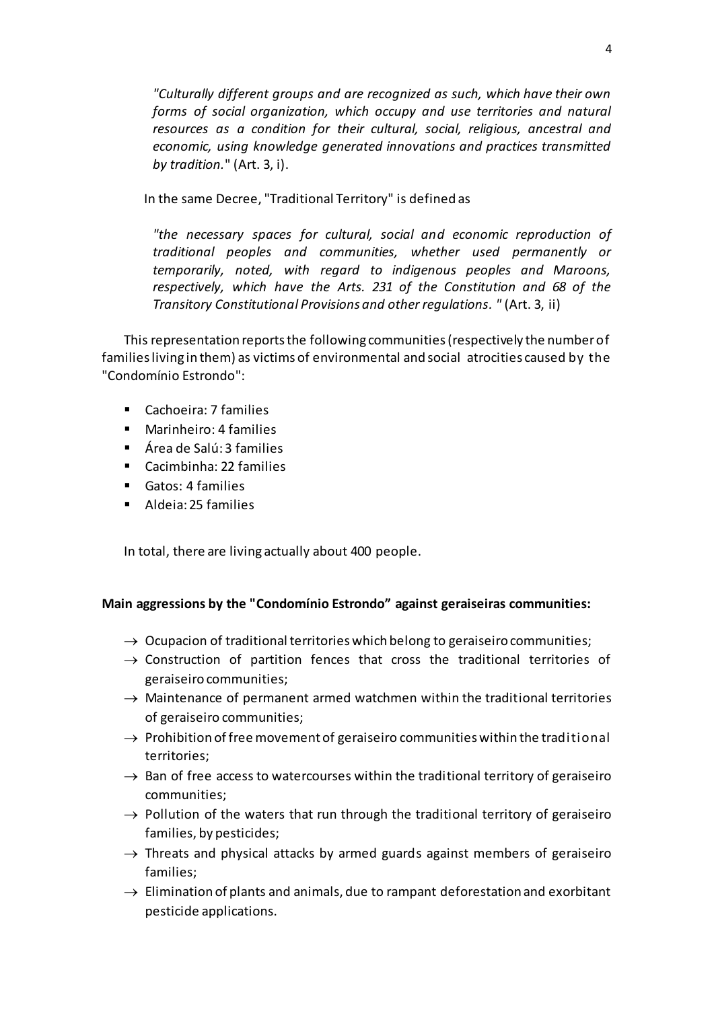*"Culturally different groups and are recognized as such, which have their own forms of social organization, which occupy and use territories and natural resources as a condition for their cultural, social, religious, ancestral and economic, using knowledge generated innovations and practices transmitted by tradition.*" (Art. 3, i).

In the same Decree, "Traditional Territory" is defined as

*"the necessary spaces for cultural, social and economic reproduction of traditional peoples and communities, whether used permanently or temporarily, noted, with regard to indigenous peoples and Maroons, respectively, which have the Arts. 231 of the Constitution and 68 of the Transitory Constitutional Provisions and other regulations. "* (Art. 3, ii)

This representation reports the following communities (respectively the number of families living in them) as victims of environmental and social atrocities caused by the "Condomínio Estrondo":

- Cachoeira: 7 families
- **Marinheiro: 4 families**
- Área de Salú: 3 families
- Cacimbinha: 22 families
- Gatos: 4 families
- Aldeia: 25 families

In total, there are living actually about 400 people.

## **Main aggressions by the "Condomínio Estrondo" against geraiseiras communities:**

- $\rightarrow$  Ocupacion of traditional territories which belong to geraiseiro communities;
- $\rightarrow$  Construction of partition fences that cross the traditional territories of geraiseiro communities;
- $\rightarrow$  Maintenance of permanent armed watchmen within the traditional territories of geraiseiro communities;
- $\rightarrow$  Prohibition of free movement of geraiseiro communities within the traditional territories;
- $\rightarrow$  Ban of free access to watercourses within the traditional territory of geraiseiro communities;
- $\rightarrow$  Pollution of the waters that run through the traditional territory of geraiseiro families, by pesticides;
- $\rightarrow$  Threats and physical attacks by armed guards against members of geraiseiro families;
- $\rightarrow$  Elimination of plants and animals, due to rampant deforestation and exorbitant pesticide applications.